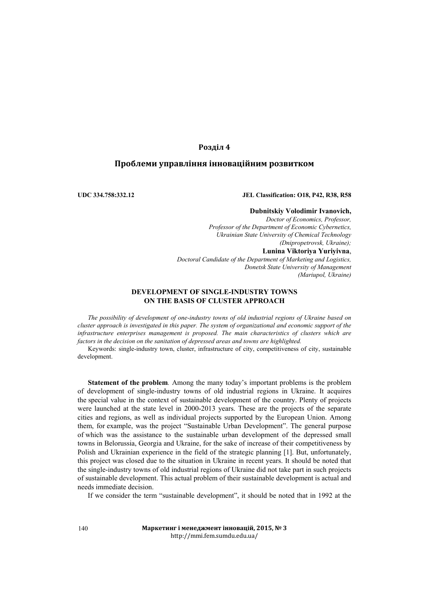# **Розділ 4**

# **Проблеми управління інноваційним розвитком**

## **UDC 334.758:332.12 JEL Classification: O18, P42, R38, R58**

## **Dubnitskiy Volodimir Ivanovich,**

*Doctor of Economics, Professor, Professor of the Department of Economic Cybernetics, Ukrainian State University of Chemical Technology (Dnipropetrovsk, Ukraine);* **Lunina Viktoriya Yuriyivna**, *Doctoral Candidate of the Department of Marketing and Logistics, Donetsk State University of Management (Mariupol, Ukraine)*

## **DEVELOPMENT OF SINGLE-INDUSTRY TOWNS ON THE BASIS OF CLUSTER APPROACH**

*The possibility of development of one-industry towns of old industrial regions of Ukraine based on cluster approach is investigated in this paper. The system of organizational and economic support of the infrastructure enterprises management is proposed. The main characteristics of clusters which are factors in the decision on the sanitation of depressed areas and towns are highlighted.*

Keywords: single-industry town, cluster, infrastructure of city, competitiveness of city, sustainable development.

**Statement of the problem***.* Among the many today's important problems is the problem of development of single-industry towns of old industrial regions in Ukraine. It acquires the special value in the context of sustainable development of the country. Plenty of projects were launched at the state level in 2000-2013 years. These are the projects of the separate cities and regions, as well as individual projects supported by the European Union. Among them, for example, was the project "Sustainable Urban Development". The general purpose of which was the assistance to the sustainable urban development of the depressed small towns in Belorussia, Georgia and Ukraine, for the sake of increase of their competitiveness by Polish and Ukrainian experience in the field of the strategic planning [1]. But, unfortunately, this project was closed due to the situation in Ukraine in recent years. It should be noted that the single-industry towns of old industrial regions of Ukraine did not take part in such projects of sustainable development. This actual problem of their sustainable development is actual and needs immediate decision.

If we consider the term "sustainable development", it should be noted that in 1992 at the

**Маркетинг і менеджмент інновацій, 2015, № 3** http://mmi.fem.sumdu.edu.ua/

140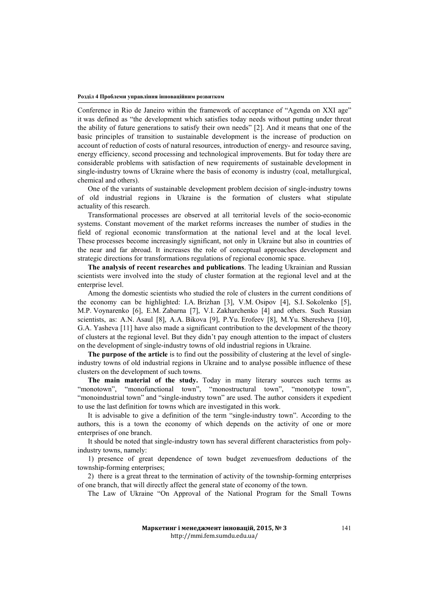### **Розділ 4 Проблеми управління інноваційним розвитком**

Conference in Rio de Janeiro within the framework of acceptance of "Agenda on XXI age" it was defined as "the development which satisfies today needs without putting under threat the ability of future generations to satisfy their own needs" [2]. And it means that one of the basic principles of transition to sustainable development is the increase of production on account of reduction of costs of natural resources, introduction of energy- and resource saving, energy efficiency, second processing and technological improvements. But for today there are considerable problems with satisfaction of new requirements of sustainable development in single-industry towns of Ukraine where the basis of economy is industry (coal, metallurgical, chemical and others).

One of the variants of sustainable development problem decision of single-industry towns of old industrial regions in Ukraine is the formation of clusters what stipulate actuality of this research.

Transformational processes are observed at all territorial levels of the socio-economic systems. Constant movement of the market reforms increases the number of studies in the field of regional economic transformation at the national level and at the local level. These processes become increasingly significant, not only in Ukraine but also in countries of the near and far abroad. It increases the role of conceptual approaches development and strategic directions for transformations regulations of regional economic space.

**The analysis of recent researches and publications**. The leading Ukrainian and Russian scientists were involved into the study of cluster formation at the regional level and at the enterprise level.

Among the domestic scientists who studied the role of clusters in the current conditions of the economy can be highlighted: I.A. Brizhan [3], V.M. Osipov [4], S.I. Sokolenko [5], M.P. Voynarenko [6], E.M. Zabarna [7], V.I. Zakharchenko [4] and others. Such Russian scientists, as: A.N. Asaul [8], А.А. Bikova [9], P.Yu. Erofeev [8], M.Yu. Sheresheva [10], G.A. Yasheva [11] have also made a significant contribution to the development of the theory of clusters at the regional level. But they didn't pay enough attention to the impact of clusters on the development of single-industry towns of old industrial regions in Ukraine.

**The purpose of the article** is to find out the possibility of clustering at the level of singleindustry towns of old industrial regions in Ukraine and to analyse possible influence of these clusters on the development of such towns.

**The main material of the study.** Today in many literary sources such terms as "monotown", "monofunctional town", "monostructural town", "monotype town", "monoindustrial town" and "single-industry town" are used. The author considers it expedient to use the last definition for towns which are investigated in this work.

It is advisable to give a definition of the term "single-industry town". According to the authors, this is a town the economy of which depends on the activity of one or more enterprises of one branch.

It should be noted that single-industry town has several different characteristics from polyindustry towns, namely:

1) presence of great dependence of town budget zevenuesfrom deductions of the township-forming enterprises;

2) there is a great threat to the termination of activity of the township-forming enterprises of one branch, that will directly affect the general state of economy of the town.

The Law of Ukraine "On Approval of the National Program for the Small Towns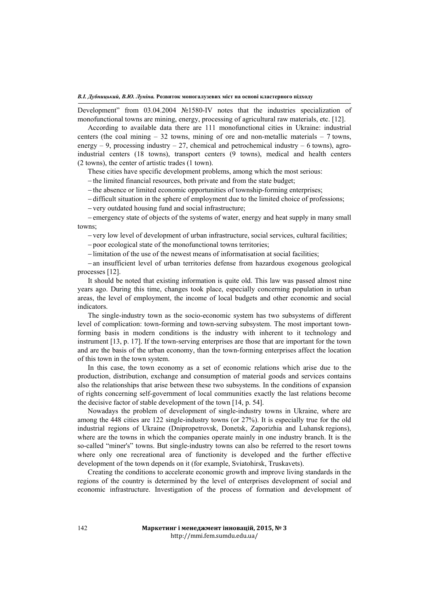Development" from 03.04.2004 №1580-IV notes that the industries specialization of monofunctional towns are mining, energy, processing of agricultural raw materials, etc. [12].

According to available data there are 111 monofunctional cities in Ukraine: industrial centers (the coal mining  $-32$  towns, mining of ore and non-metallic materials  $-7$  towns, energy – 9, processing industry – 27, chemical and petrochemical industry – 6 towns), agroindustrial centers (18 towns), transport centers (9 towns), medical and health centers (2 towns), the center of artistic trades (1 town).

These cities have specific development problems, among which the most serious:

− the limited financial resources, both private and from the state budget;

− the absence or limited economic opportunities of township-forming enterprises;

− difficult situation in the sphere of employment due to the limited choice of professions;

− very outdated housing fund and social infrastructure;

− emergency state of objects of the systems of water, energy and heat supply in many small towns;

− very low level of development of urban infrastructure, social services, cultural facilities;

− poor ecological state of the monofunctional towns territories;

− limitation of the use of the newest means of informatisation at social facilities;

− an insufficient level of urban territories defense from hazardous exogenous geological processes [12].

It should be noted that existing information is quite old. This law was passed almost nine years ago. During this time, changes took place, especially concerning population in urban areas, the level of employment, the income of local budgets and other economic and social indicators.

The single-industry town as the socio-economic system has two subsystems of different level of complication: town-forming and town-serving subsystem. The most important townforming basis in modern conditions is the industry with inherent to it technology and instrument [13, p. 17]. If the town-serving enterprises are those that are important for the town and are the basis of the urban economy, than the town-forming enterprises affect the location of this town in the town system.

In this case, the town economy as a set of economic relations which arise due to the production, distribution, exchange and consumption of material goods and services contains also the relationships that arise between these two subsystems. In the conditions of expansion of rights concerning self-government of local communities exactly the last relations become the decisive factor of stable development of the town [14, p. 54].

Nowadays the problem of development of single-industry towns in Ukraine, where are among the 448 cities are 122 single-industry towns (or 27%). It is especially true for the old industrial regions of Ukraine (Dnipropetrovsk, Donetsk, Zaporizhia and Luhansk regions), where are the towns in which the companies operate mainly in one industry branch. It is the so-called "miner's" towns. But single-industry towns can also be referred to the resort towns where only one recreational area of functionity is developed and the further effective development of the town depends on it (for example, Sviatohirsk, Truskavets).

Creating the conditions to accelerate economic growth and improve living standards in the regions of the country is determined by the level of enterprises development of social and economic infrastructure. Investigation of the process of formation and development of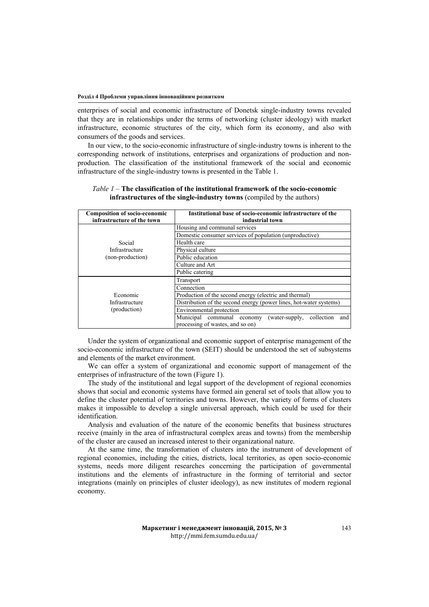enterprises of social and economic infrastructure of Donetsk single-industry towns revealed that they are in relationships under the terms of networking (cluster ideology) with market infrastructure, economic structures of the city, which form its economy, and also with consumers of the goods and services.

In our view, to the socio-economic infrastructure of single-industry towns is inherent to the corresponding network of institutions, enterprises and organizations of production and nonproduction. The classification of the institutional framework of the social and economic infrastructure of the single-industry towns is presented in the Table 1.

| <b>Composition of socio-economic</b><br>infrastructure of the town | Institutional base of socio-economic infrastructure of the<br>industrial town |
|--------------------------------------------------------------------|-------------------------------------------------------------------------------|
| Social<br>Infrastructure<br>(non-production)                       | Housing and communal services                                                 |
|                                                                    | Domestic consumer services of population (unproductive)                       |
|                                                                    | Health care                                                                   |
|                                                                    | Physical culture                                                              |
|                                                                    | Public education                                                              |
|                                                                    | Culture and Art                                                               |
|                                                                    | Public catering                                                               |
| Economic<br>Infrastructure<br>(production)                         | Transport                                                                     |
|                                                                    | Connection                                                                    |
|                                                                    | Production of the second energy (electric and thermal)                        |
|                                                                    | Distribution of the second energy (power lines, hot-water systems)            |
|                                                                    | Environmental protection                                                      |
|                                                                    | Municipal communal economy<br>collection<br>(water-supply,<br>and             |
|                                                                    | processing of wastes, and so on)                                              |

*Table 1 –* **The classification of the institutional framework of the socio-economic infrastructures of the single-industry towns** (compiled by the authors)

Under the system of organizational and economic support of enterprise management of the socio-economic infrastructure of the town (SEIT) should be understood the set of subsystems and elements of the market environment.

We can offer a system of organizational and economic support of management of the enterprises of infrastructure of the town (Figure 1).

The study of the institutional and legal support of the development of regional economies shows that social and economic systems have formed ain general set of tools that allow you to define the cluster potential of territories and towns. However, the variety of forms of clusters makes it impossible to develop a single universal approach, which could be used for their identification.

Analysis and evaluation of the nature of the economic benefits that business structures receive (mainly in the area of infrastructural complex areas and towns) from the membership of the cluster are caused an increased interest to their organizational nature.

At the same time, the transformation of clusters into the instrument of development of regional economies, including the cities, districts, local territories, as open socio-economic systems, needs more diligent researches concerning the participation of governmental institutions and the elements of infrastructure in the forming of territorial and sector integrations (mainly on principles of cluster ideology), as new institutes of modern regional economy.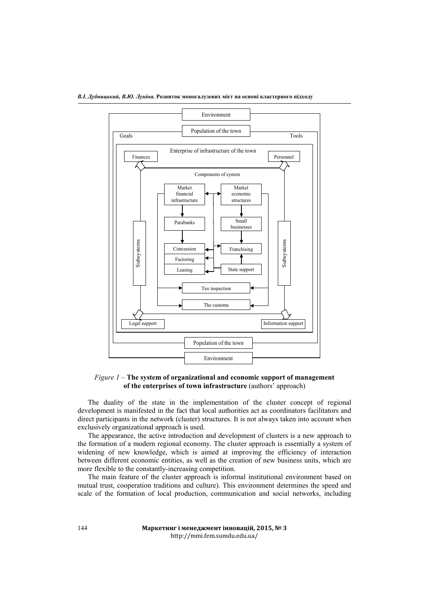

*Figure 1* – **The system of organizational and economic support of management of the enterprises of town infrastructure** (authors' approach)

The duality of the state in the implementation of the cluster concept of regional development is manifested in the fact that local authorities act as coordinators facilitators and direct participants in the network (cluster) structures. It is not always taken into account when exclusively organizational approach is used.

The appearance, the active introduction and development of clusters is a new approach to the formation of a modern regional economy. The cluster approach is essentially a system of widening of new knowledge, which is aimed at improving the efficiency of interaction between different economic entities, as well as the creation of new business units, which are more flexible to the constantly-increasing competition.

The main feature of the cluster approach is informal institutional environment based on mutual trust, cooperation traditions and culture). This environment determines the speed and scale of the formation of local production, communication and social networks, including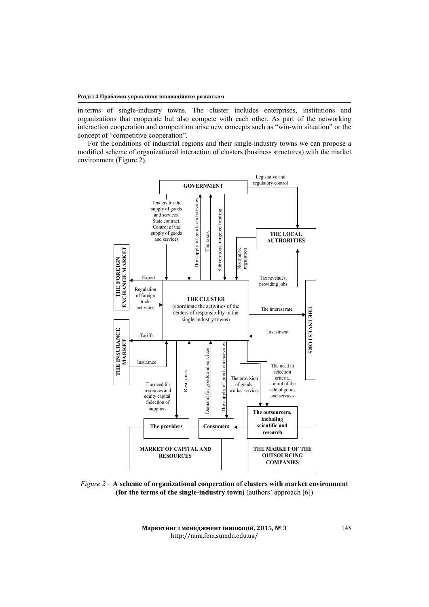in terms of single-industry towns. The cluster includes enterprises, institutions and organizations that cooperate but also compete with each other. As part of the networking interaction cooperation and competition arise new concepts such as "win-win situation" or the concept of "competitive cooperation".

For the conditions of industrial regions and their single-industry towns we can propose a modified scheme of organizational interaction of clusters (business structures) with the market environment (Figure 2).



*Figure 2* – **A scheme of organizational cooperation of clusters with market environment (for the terms of the single-industry town)** (authors' approach [6])

**Маркетинг і менеджмент інновацій, 2015, № 3** http://mmi.fem.sumdu.edu.ua/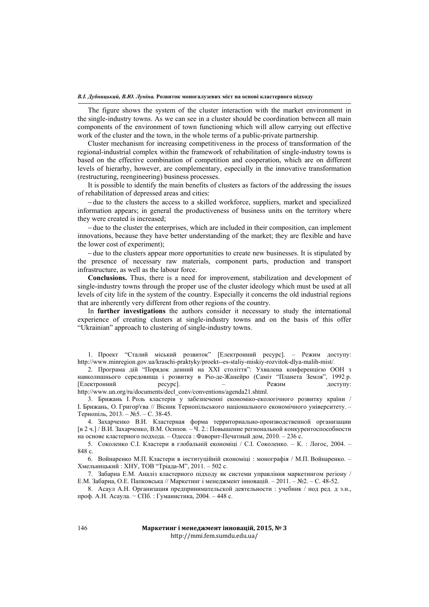The figure shows the system of the cluster interaction with the market environment in the single-industry towns. As we can see in a cluster should be coordination between all main components of the environment of town functioning which will allow carrying out effective work of the cluster and the town, in the whole terms of a public-private partnership.

Cluster mechanism for increasing competitiveness in the process of transformation of the regional-industrial complex within the framework of rehabilitation of single-industry towns is based on the effective combination of competition and cooperation, which are on different levels of hierarhy, however, are complementary, especially in the innovative transformation (restructuring, reengineering) business processes.

It is possible to identify the main benefits of clusters as factors of the addressing the issues of rehabilitation of depressed areas and cities:

− due to the clusters the access to a skilled workforce, suppliers, market and specialized information appears; in general the productiveness of business units on the territory where they were created is increased;

− due to the cluster the enterprises, which are included in their composition, can implement innovations, because they have better understanding of the market; they are flexible and have the lower cost of experiment);

− due to the clusters appear more opportunities to create new businesses. It is stipulated by the presence of necessary raw materials, component parts, production and transport infrastructure, as well as the labour force.

**Conclusions.** Thus, there is a need for improvement, stabilization and development of single-industry towns through the proper use of the cluster ideology which must be used at all levels of city life in the system of the country. Especially it concerns the old industrial regions that are inherently very different from other regions of the country.

In **further investigations** the authors consider it necessary to study the international experience of creating clusters at single-industry towns and on the basis of this offer "Ukrainian" approach to clustering of single-industry towns.

1. Проект "Сталий міський розвиток" [Електронний ресурс]. – Режим доступу: http://www.minregion.gov.ua/kraschi-praktyky/proekt--es-staliy-miskiy-rozvitok-dlya-malih-mist/.

2. Програма дій "Порядок денний на XXI століття": Ухвалена конференцією ООН з навколишнього середовища і розвитку в Ріо-де-Жанейро (Саміт "Планета Земля", 1992 р. [Електронний ресурс]. – Режим доступу: http://www.un.org/ru/documents/decl\_conv/conventions/agenda21.shtml.

3. Брижань І. Роль кластерів у забезпеченні економіко-екологічного розвитку країни / І. Брижань, О. Григор'єва // Вісник Тернопільського національного економічного університету. – Тернопіль, 2013. – №5. – С. 38-45.

4. Захарченко В.И. Кластерная форма территориально-производственной организации [в 2 ч.] / В.И. Захарченко, В.М. Осипов. – Ч. 2.: Повышение региональной конкурентоспособности на основе кластерного подхода. – Одесса : Фаворит-Печатный дом, 2010. – 236 с.

5. Соколенко С.І. Кластери в глобальній економіці / С.І. Соколенко. – К. : Логос, 2004. – 848 с.

6. Войнаренко М.П. Кластери в інституційній економіці : монографія / М.П. Войнаренко. – Хмельницький : ХНУ, ТОВ "Тріада-М", 2011. – 502 с.

7. Забарна Е.М. Аналіз кластерного підходу як системи управління маркетингом регіону / Е.М. Забарна, О.Е. Папковська // Маркетинг і менеджмент інновацій. – 2011. – №2. – С. 48-52.

8. Асаул А.Н. Организация предпринимательской деятельности : учебник / под ред. д э.н., проф. А.Н. Асаула. − СПб. : Гуманистика, 2004. – 448 с.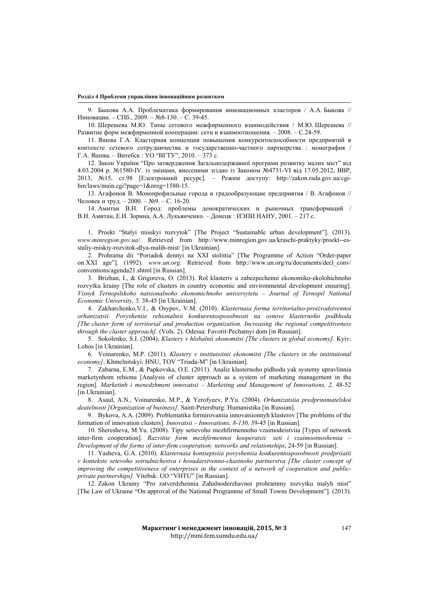#### **Розділ 4 Проблеми управління інноваційним розвитком**

9. Быкова А.А. Проблематика формирования инновационных кластеров / А.А. Быкова // Инновации. – СПб., 2009. – №8-130. – С. 39-45.

10. Шерешева М.Ю. Типы сетевого межфирменного взаимодействия / М.Ю. Шерешева // Развитие форм межфирменной кооперации: сети и взаимоотношения. – 2008. – С.24-59.

11. Яшева Г.А. Кластерная концепция повышения конкурентоспособности предприятий в контексте сетевого сотрудничества и государственно-частного партнерства : монография / Г.А. Яшева. – Витебск : УО "ВГТУ", 2010. – 373 с.

12. Закон України "Про затвердження Загальнодержавної програми розвитку малих міст" від 4.03.2004 р. №1580-IV. із змінами, внесеними згідно із Законом №4731-VI від 17.05.2012, ВВР, 2013, №15, ст.98 [Електронний ресурс]. – Режим доступу: http://zakon.rada.gov.ua/cgibin/laws/main.cgi?page=1&nreg=1580-15.

13. Агафонов В. Монопрофильные города и градообразующие предприятия / В. Агафонов // Человек и труд. – 2000. – №9. – С. 16-20.

14. Амитан В.Н. Город: проблемы демократических и рыночных трансформаций / В.Н. Амитан, Е.И. Зорина, А.А. Лукьянченко. – Донецк : ИЭПИ НАНУ, 2001. – 217 с.

1. Proekt "Stalyi misskyi rozvytok" [The Project "Sustainable urban development"]. (2013). *www.minregion.gov.ua/*. Retrieved from http://www.minregion.gov.ua/kraschi-praktyky/proekt--esstaliy-miskiy-rozvitok-dlya-malih-mist/ [in Ukrainian].

2. Prohrama dii "Poriadok dennyi na XXI stolittia" [The Programme of Action "Order-paper on XXI age"]. (1992). *www.un.org.* Retrieved from http://www.un.org/ru/documents/decl\_conv/ conventions/agenda21.shtml [in Russian].

3. Brizhan, I., & Grigoreva, O. (2013). Rol klasteriv u zabezpechenni ekonomiko-ekolohichnoho rozvytku krainy [The role of clusters in country economic and environmental development ensuring]. *Visnyk Ternopilskoho natsionalnoho ekonomichnoho universytetu – Journal of Ternopil National Economic University, 5,* 38-45 [in Ukrainian].

4. Zakharchenko,V.I., & Osypov, V.M. (2010). *Klasternaia forma territorialno-proizvodstvennoi orhanizatsii. Povysheniie rehionalnoi konkurentosposobnosti na osnove klasternoho podkhoda [The cluster form of territorial and production organization. Increasing the regional competitiveness through the cluster approach]*. (Vols. 2). Odessa: Favorit-Pechatnyi dom [in Russian].

5. Sokolenko, S.I. (2004). *Klastery v hlobalnii ekonomitsi [The clusters in global economy]*. Kyiv: Lohos [in Ukrainian].

6. Voinarenko, M.P. (2011). *Klastery v institutsiinii ekonomitsi [The clusters in the institutional economy]*. Khmelnitskyi: HNU, TOV "Triada-M" [in Ukrainian].

7. Zabarna, E.M., & Papkovska, O.E. (2011). Analiz klasternoho pidhodu yak systemy upravlinnia marketynhom rehionu [Analysis of cluster approach as a system of marketing management in the region]. *Marketinh i menedzhment innovatsii – Marketing and Management of Innovations, 2,* 48-52 [in Ukrainian].

8. Asaul, A.N., Voinarenko, M.P., & Yerofyeev, P.Yu. (2004). *Orhanizatsiia predprinimatelskoi deatelnosti [Organization of business]*. Saint-Petersburg: Humanistika [in Russian].

9. Bykova, A.A. (2009). Problematika formirovaniia innovatsionnyh klasterov [The problems of the formation of innovation clusters]. *Innovatsii – Innovations, 8-130,* 39-45 [in Russian].

10. Sheresheva, M.Yu. (2008). Tipy setievoho mezhfirmennoho vzaimodeistviia [Types of network inter-firm cooperation]. *Razvitiie form mezhfirmennoi kooperatsii: seti i vzaimootnosheniia – Development of the forms of inter-firm cooperation: networks and relationships*, 24-59 [in Russian].

11. Yasheva, G.A. (2010). *Klasternaia kontseptsiia povysheniia konkurentosposobnosti predpriiatii v kontekste setevoho sotrudnichestva i hosudarstvenno-chastnoho partnerstva [The cluster concept of improving the competitiveness of enterprises in the context of a network of cooperation and publicprivate partnerships].* Vitebsk: UO "VHTU" [in Russian].

12. Zakon Ukrainy "Pro zatverdzhennia Zahalnoderzhavnoi prohrammy rozvytku malyh mist" [The Law of Ukraine "On approval of the National Programme of Small Towns Development"]. (2013).